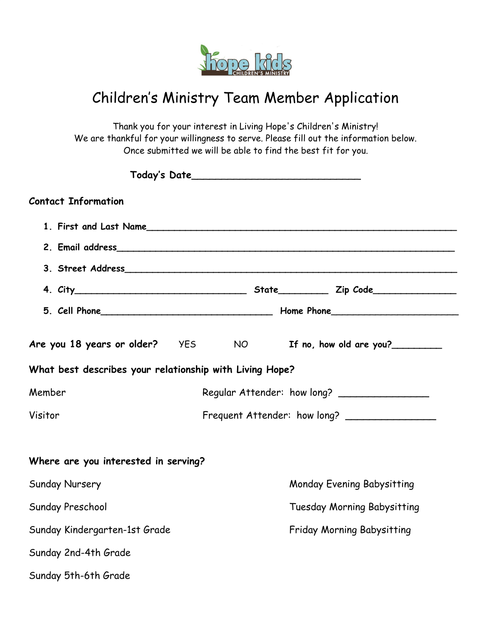

## Children's Ministry Team Member Application

Thank you for your interest in Living Hope's Children's Ministry! We are thankful for your willingness to serve. Please fill out the information below. Once submitted we will be able to find the best fit for you.

| <b>Contact Information</b>                              |  |                 |                                   |                                              |
|---------------------------------------------------------|--|-----------------|-----------------------------------|----------------------------------------------|
|                                                         |  |                 |                                   |                                              |
|                                                         |  |                 |                                   |                                              |
|                                                         |  |                 |                                   |                                              |
|                                                         |  |                 |                                   |                                              |
|                                                         |  |                 |                                   |                                              |
| Are you 18 years or older?    YES                       |  | NO <sub>2</sub> |                                   | If no, how old are you?                      |
| What best describes your relationship with Living Hope? |  |                 |                                   |                                              |
| Member                                                  |  |                 |                                   | Regular Attender: how long? _______________  |
| Visitor                                                 |  |                 |                                   | Frequent Attender: how long? _______________ |
| Where are you interested in serving?                    |  |                 |                                   |                                              |
| Sunday Nursery                                          |  |                 | <b>Monday Evening Babysitting</b> |                                              |
| Sunday Preschool                                        |  |                 |                                   | <b>Tuesday Morning Babysitting</b>           |
| Sunday Kindergarten-1st Grade                           |  |                 | Friday Morning Babysitting        |                                              |
| Sunday 2nd-4th Grade                                    |  |                 |                                   |                                              |
| Sunday 5th-6th Grade                                    |  |                 |                                   |                                              |